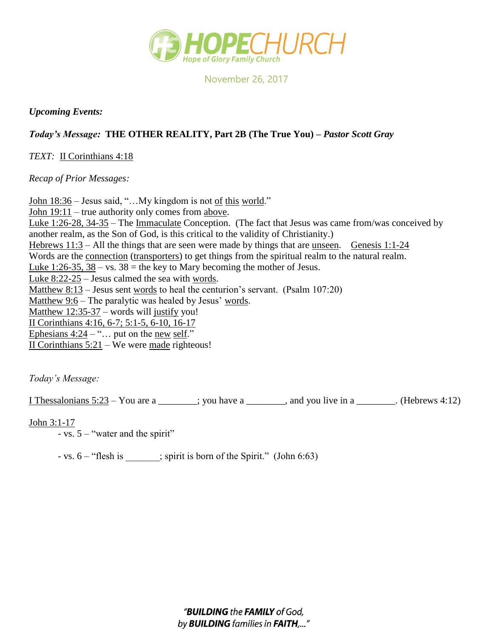

November 26, 2017

## *Upcoming Events:*

## *Today's Message:* **THE OTHER REALITY, Part 2B (The True You) –** *Pastor Scott Gray*

*TEXT:* II Corinthians 4:18

*Recap of Prior Messages:*

John 18:36 – Jesus said, "...My kingdom is not of this world." John 19:11 – true authority only comes from above. Luke 1:26-28, 34-35 – The Immaculate Conception. (The fact that Jesus was came from/was conceived by another realm, as the Son of God, is this critical to the validity of Christianity.) Hebrews 11:3 – All the things that are seen were made by things that are unseen. Genesis 1:1-24 Words are the <u>connection</u> (transporters) to get things from the spiritual realm to the natural realm. Luke 1:26-35,  $38 - vs. 38 = the key to Mary becoming the mother of Jesus.$ Luke  $8:22-25$  – Jesus calmed the sea with words. Matthew 8:13 – Jesus sent words to heal the centurion's servant. (Psalm 107:20) Matthew  $9:6$  – The paralytic was healed by Jesus' words. Matthew 12:35-37 – words will justify you! II Corinthians 4:16, 6-7; 5:1-5, 6-10, 16-17 Ephesians  $4:24 - \cdots$  put on the new self." II Corinthians 5:21 – We were made righteous!

*Today's Message:*

I Thessalonians  $5:23 -$ You are a \_\_\_\_\_\_; you have a \_\_\_\_\_\_, and you live in a \_\_\_\_\_\_. (Hebrews 4:12)

John 3:1-17

- vs. 5 – "water and the spirit"

- vs. 6 – "flesh is ; spirit is born of the Spirit." (John 6:63)